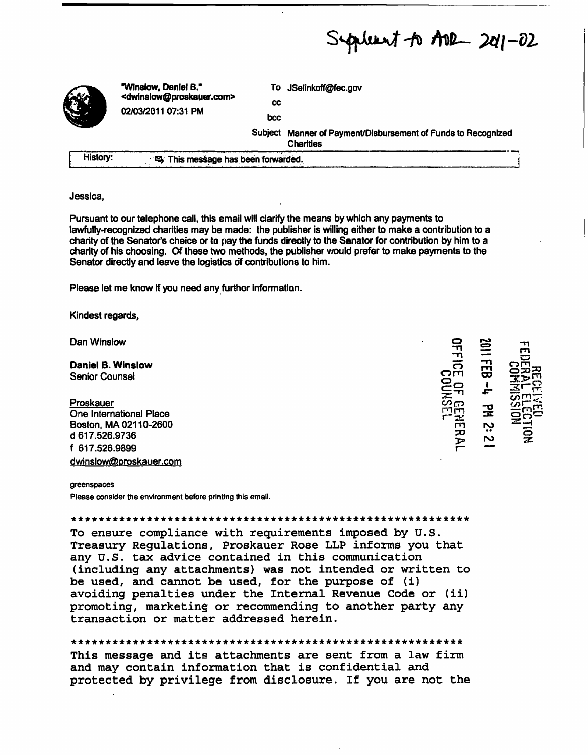Septeent to ADR 201-02

|          | "Winslow, Daniel B."<br><dwinslow@proskauer.com><br/>02/03/2011 07:31 PM</dwinslow@proskauer.com> | To         | JSelinkoff@fec.gov                                                        |
|----------|---------------------------------------------------------------------------------------------------|------------|---------------------------------------------------------------------------|
|          |                                                                                                   | cc         |                                                                           |
|          |                                                                                                   | <b>bcc</b> |                                                                           |
|          |                                                                                                   | Subject    | Manner of Payment/Disbursement of Funds to Recognized<br><b>Charities</b> |
| History: | 鸟 This message has been forwarded.                                                                |            |                                                                           |

## Jessica.

Pursuant to our telephone call, this email will clarify the means by which any payments to lawfully-recognized charities may be made: the publisher is willing either to make a contribution to a charity of the Senator's cheice or to pay the funds directly to the Sanator for contribution by him to a charity of his choosing. Of these two methods, the publisher would prefer to make payments to the Senator directly and leave the logistics of contributions to him.

Please let me know if you need any furthor information.

Kindest regards,

Dan Winslow

**Daniel B. Winslow Senior Counsel** 

Proskauer

One International Place Boston, MA 02110-2600 d 617.526.9736 f 617.526.9899 dwinslow@proskauer.com ڊِ 2

## greenspaces

Please consider the environment before printing this email.

To ensure compliance with requirements imposed by U.S. Treasury Regulations, Proskauer Rose LLP informs you that any U.S. tax advice contained in this communication (including any attachments) was not intended or written to be used, and cannot be used, for the purpose of (i) avoiding penalties under the Internal Revenue Code or (ii) promoting, marketine or recommending to another party any transaction or matter addressed herein.

## 

This message and its attachments are sent from a law firm and may contain information that is confidential and protected by privilege from disclosure. If you are not the